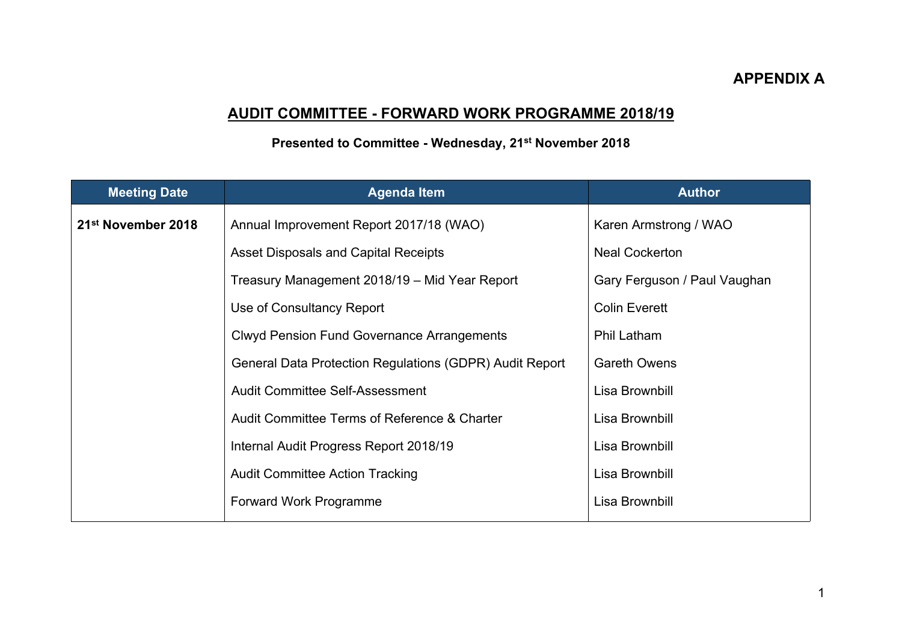## **APPENDIX A**

## **AUDIT COMMITTEE - FORWARD WORK PROGRAMME 2018/19**

## **Presented to Committee - Wednesday, 21st November 2018**

| <b>Meeting Date</b>            | <b>Agenda Item</b>                                      | <b>Author</b>                |
|--------------------------------|---------------------------------------------------------|------------------------------|
| 21 <sup>st</sup> November 2018 | Annual Improvement Report 2017/18 (WAO)                 | Karen Armstrong / WAO        |
|                                | <b>Asset Disposals and Capital Receipts</b>             | <b>Neal Cockerton</b>        |
|                                | Treasury Management 2018/19 - Mid Year Report           | Gary Ferguson / Paul Vaughan |
|                                | Use of Consultancy Report                               | <b>Colin Everett</b>         |
|                                | <b>Clwyd Pension Fund Governance Arrangements</b>       | <b>Phil Latham</b>           |
|                                | General Data Protection Regulations (GDPR) Audit Report | <b>Gareth Owens</b>          |
|                                | Audit Committee Self-Assessment                         | Lisa Brownbill               |
|                                | Audit Committee Terms of Reference & Charter            | Lisa Brownbill               |
|                                | Internal Audit Progress Report 2018/19                  | Lisa Brownbill               |
|                                | <b>Audit Committee Action Tracking</b>                  | Lisa Brownbill               |
|                                | Forward Work Programme                                  | Lisa Brownbill               |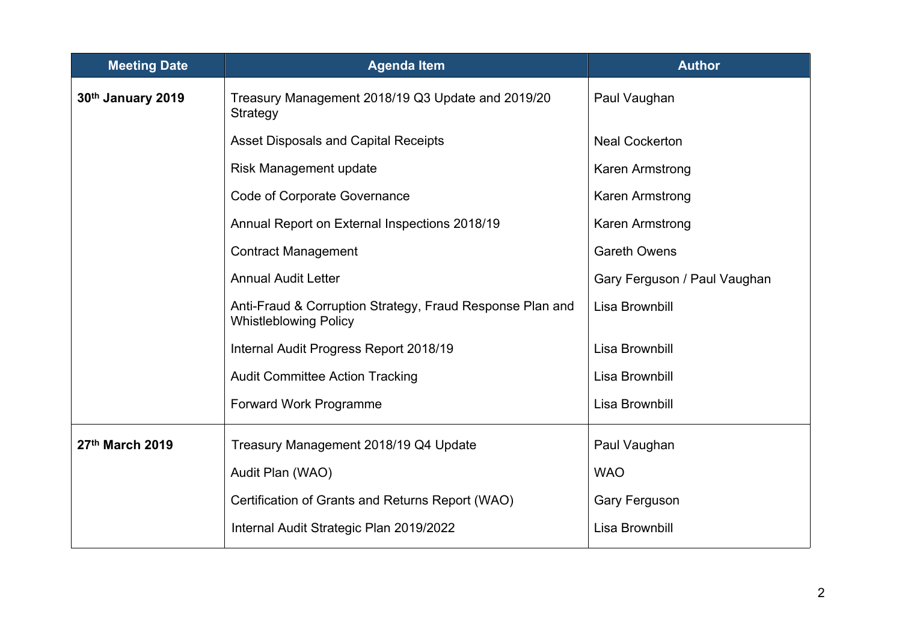| <b>Meeting Date</b> | <b>Agenda Item</b>                                                                        | <b>Author</b>                |
|---------------------|-------------------------------------------------------------------------------------------|------------------------------|
| 30th January 2019   | Treasury Management 2018/19 Q3 Update and 2019/20<br>Strategy                             | Paul Vaughan                 |
|                     | <b>Asset Disposals and Capital Receipts</b>                                               | <b>Neal Cockerton</b>        |
|                     | Risk Management update                                                                    | Karen Armstrong              |
|                     | <b>Code of Corporate Governance</b>                                                       | Karen Armstrong              |
|                     | Annual Report on External Inspections 2018/19                                             | Karen Armstrong              |
|                     | <b>Contract Management</b>                                                                | <b>Gareth Owens</b>          |
|                     | <b>Annual Audit Letter</b>                                                                | Gary Ferguson / Paul Vaughan |
|                     | Anti-Fraud & Corruption Strategy, Fraud Response Plan and<br><b>Whistleblowing Policy</b> | Lisa Brownbill               |
|                     | Internal Audit Progress Report 2018/19                                                    | Lisa Brownbill               |
|                     | <b>Audit Committee Action Tracking</b>                                                    | Lisa Brownbill               |
|                     | Forward Work Programme                                                                    | Lisa Brownbill               |
| 27th March 2019     | Treasury Management 2018/19 Q4 Update                                                     | Paul Vaughan                 |
|                     | Audit Plan (WAO)                                                                          | <b>WAO</b>                   |
|                     | Certification of Grants and Returns Report (WAO)                                          | Gary Ferguson                |
|                     | Internal Audit Strategic Plan 2019/2022                                                   | Lisa Brownbill               |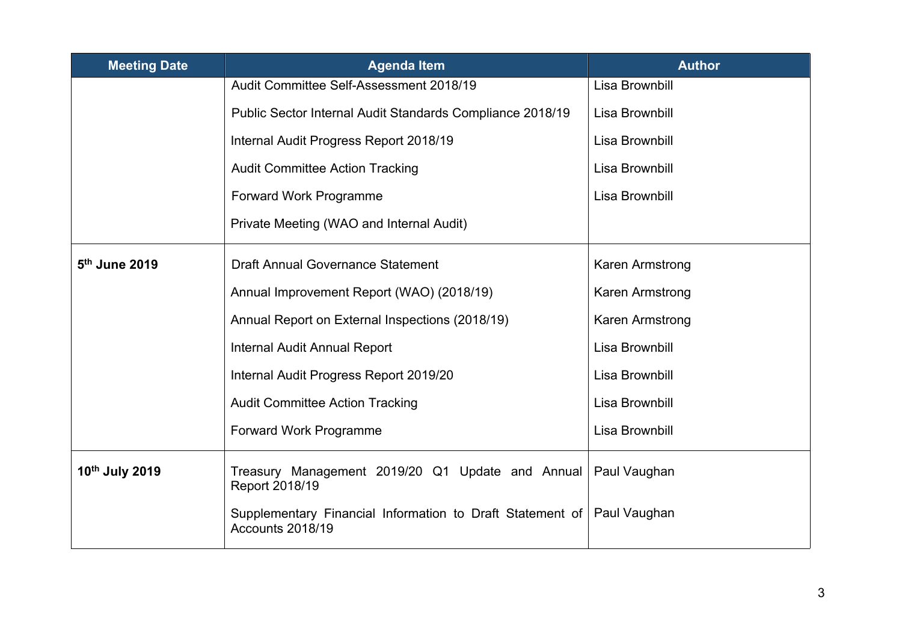| <b>Meeting Date</b>       | <b>Agenda Item</b>                                                            | <b>Author</b>   |
|---------------------------|-------------------------------------------------------------------------------|-----------------|
|                           | Audit Committee Self-Assessment 2018/19                                       | Lisa Brownbill  |
|                           | Public Sector Internal Audit Standards Compliance 2018/19                     | Lisa Brownbill  |
|                           | Internal Audit Progress Report 2018/19                                        | Lisa Brownbill  |
|                           | <b>Audit Committee Action Tracking</b>                                        | Lisa Brownbill  |
|                           | Forward Work Programme                                                        | Lisa Brownbill  |
|                           | Private Meeting (WAO and Internal Audit)                                      |                 |
| 5 <sup>th</sup> June 2019 | <b>Draft Annual Governance Statement</b>                                      | Karen Armstrong |
|                           | Annual Improvement Report (WAO) (2018/19)                                     | Karen Armstrong |
|                           | Annual Report on External Inspections (2018/19)                               | Karen Armstrong |
|                           | <b>Internal Audit Annual Report</b>                                           | Lisa Brownbill  |
|                           | Internal Audit Progress Report 2019/20                                        | Lisa Brownbill  |
|                           | <b>Audit Committee Action Tracking</b>                                        | Lisa Brownbill  |
|                           | <b>Forward Work Programme</b>                                                 | Lisa Brownbill  |
| 10th July 2019            | Treasury Management 2019/20 Q1 Update and Annual<br>Report 2018/19            | Paul Vaughan    |
|                           | Supplementary Financial Information to Draft Statement of<br>Accounts 2018/19 | Paul Vaughan    |